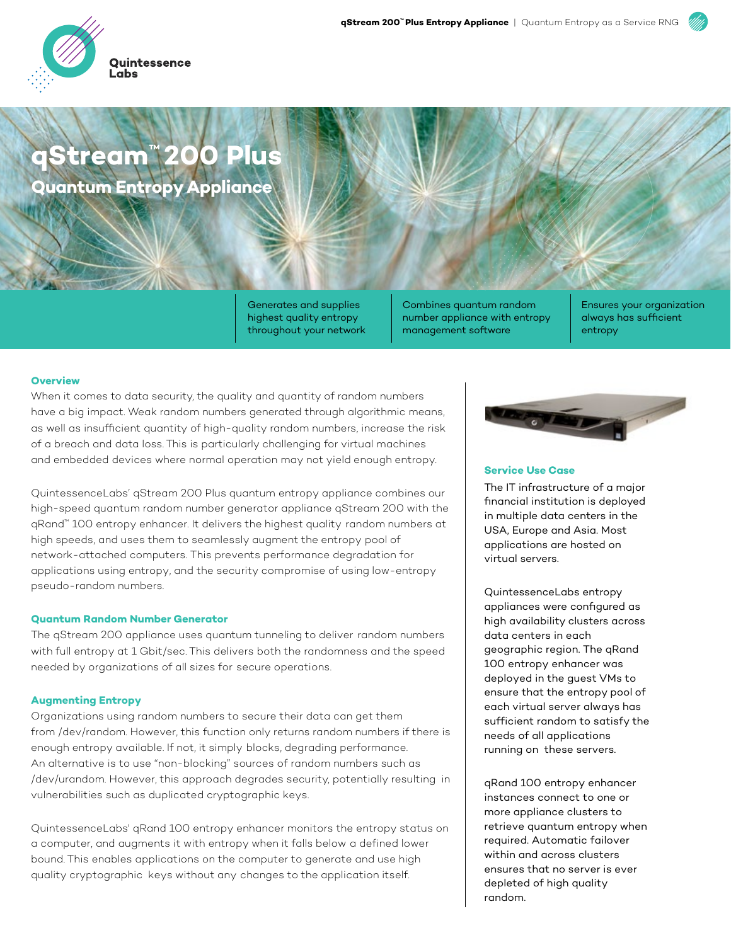

## **qStream™ 200 Plus Quantum Entropy Appliance**

Generates and supplies highest quality entropy throughout your network

Combines quantum random number appliance with entropy management software

Ensures your organization always has sufficient entropy

### **Overview**

When it comes to data security, the quality and quantity of random numbers have a big impact. Weak random numbers generated through algorithmic means, as well as insufficient quantity of high-quality random numbers, increase the risk of a breach and data loss. This is particularly challenging for virtual machines and embedded devices where normal operation may not yield enough entropy.

QuintessenceLabs' qStream 200 Plus quantum entropy appliance combines our high-speed quantum random number generator appliance qStream 200 with the qRand™ 100 entropy enhancer. It delivers the highest quality random numbers at high speeds, and uses them to seamlessly augment the entropy pool of network-attached computers. This prevents performance degradation for applications using entropy, and the security compromise of using low-entropy pseudo-random numbers.

## **Quantum Random Number Generator**

The qStream 200 appliance uses quantum tunneling to deliver random numbers with full entropy at 1 Gbit/sec. This delivers both the randomness and the speed needed by organizations of all sizes for secure operations.

### **Augmenting Entropy**

Organizations using random numbers to secure their data can get them from /dev/random. However, this function only returns random numbers if there is enough entropy available. If not, it simply blocks, degrading performance. An alternative is to use "non-blocking" sources of random numbers such as /dev/urandom. However, this approach degrades security, potentially resulting in vulnerabilities such as duplicated cryptographic keys.

QuintessenceLabs' qRand 100 entropy enhancer monitors the entropy status on a computer, and augments it with entropy when it falls below a defined lower bound. This enables applications on the computer to generate and use high quality cryptographic keys without any changes to the application itself.



### **Service Use Case**

The IT infrastructure of a major financial institution is deployed in multiple data centers in the USA, Europe and Asia. Most applications are hosted on virtual servers.

QuintessenceLabs entropy appliances were configured as high availability clusters across data centers in each geographic region. The qRand 100 entropy enhancer was deployed in the guest VMs to ensure that the entropy pool of each virtual server always has sufficient random to satisfy the needs of all applications running on these servers.

qRand 100 entropy enhancer instances connect to one or more appliance clusters to retrieve quantum entropy when required. Automatic failover within and across clusters ensures that no server is ever depleted of high quality random.